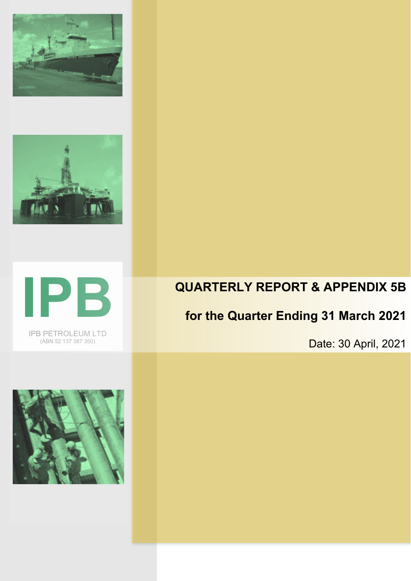





IPB PETROLEUM LTD (ABN 52 137 387 350)

## **QUARTERLY REPORT & APPENDIX 5B**

# **for the Quarter Ending 31 March 2021**

Date: 30 April, 2021

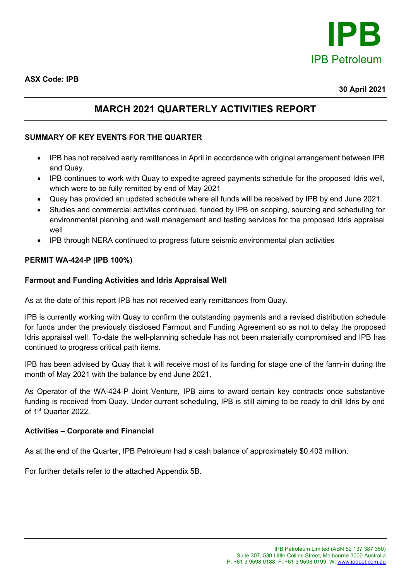

**ASX Code: IPB**

#### **30 April 2021**

### **MARCH 2021 QUARTERLY ACTIVITIES REPORT**

### **SUMMARY OF KEY EVENTS FOR THE QUARTER**

- IPB has not received early remittances in April in accordance with original arrangement between IPB and Quay.
- IPB continues to work with Quay to expedite agreed payments schedule for the proposed Idris well, which were to be fully remitted by end of May 2021
- Quay has provided an updated schedule where all funds will be received by IPB by end June 2021.
- Studies and commercial activites continued, funded by IPB on scoping, sourcing and scheduling for environmental planning and well management and testing services for the proposed Idris appraisal well
- IPB through NERA continued to progress future seismic environmental plan activities

#### **PERMIT WA-424-P (IPB 100%)**

#### **Farmout and Funding Activities and Idris Appraisal Well**

As at the date of this report IPB has not received early remittances from Quay.

IPB is currently working with Quay to confirm the outstanding payments and a revised distribution schedule for funds under the previously disclosed Farmout and Funding Agreement so as not to delay the proposed Idris appraisal well. To-date the well-planning schedule has not been materially compromised and IPB has continued to progress critical path items.

IPB has been advised by Quay that it will receive most of its funding for stage one of the farm-in during the month of May 2021 with the balance by end June 2021.

As Operator of the WA-424-P Joint Venture, IPB aims to award certain key contracts once substantive funding is received from Quay. Under current scheduling, IPB is still aiming to be ready to drill Idris by end of 1st Quarter 2022.

#### **Activities – Corporate and Financial**

As at the end of the Quarter, IPB Petroleum had a cash balance of approximately \$0.403 million.

For further details refer to the attached Appendix 5B.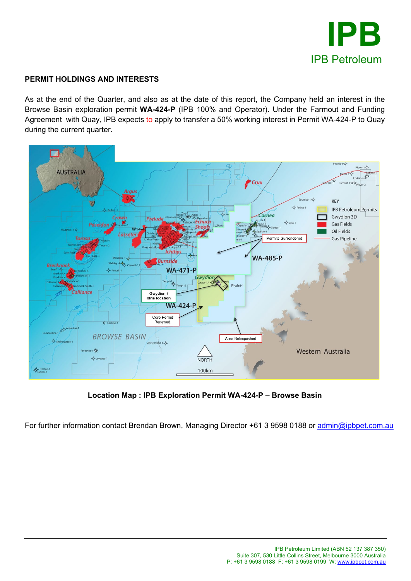

#### **PERMIT HOLDINGS AND INTERESTS**

As at the end of the Quarter, and also as at the date of this report, the Company held an interest in the Browse Basin exploration permit **WA-424-P** (IPB 100% and Operator)**.** Under the Farmout and Funding Agreement with Quay, IPB expects to apply to transfer a 50% working interest in Permit WA-424-P to Quay during the current quarter.



**Location Map : IPB Exploration Permit WA-424-P – Browse Basin**

For further information contact Brendan Brown, Managing Director +61 3 9598 0188 or [admin@ipbpet.com.au](mailto:admin@ipbpet.com.au)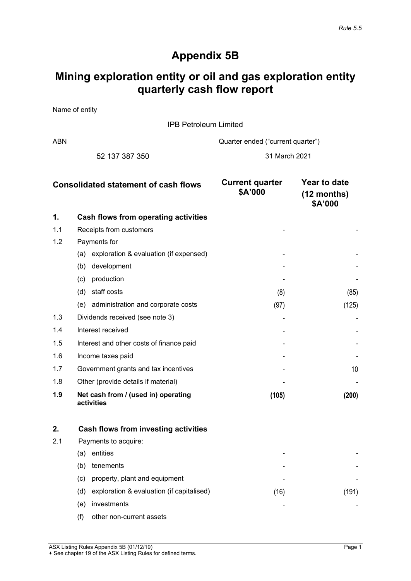### **Appendix 5B**

### **Mining exploration entity or oil and gas exploration entity quarterly cash flow report**

Name of entity

IPB Petroleum Limited

ABN ABN Cuarter ended ("current quarter")

52 137 387 350 31 March 2021

| <b>Consolidated statement of cash flows</b> |                                                   | <b>Current quarter</b><br>\$A'000 | Year to date<br>$(12$ months)<br>\$A'000 |
|---------------------------------------------|---------------------------------------------------|-----------------------------------|------------------------------------------|
| 1.                                          | <b>Cash flows from operating activities</b>       |                                   |                                          |
| 1.1                                         | Receipts from customers                           |                                   |                                          |
| 1.2                                         | Payments for                                      |                                   |                                          |
|                                             | exploration & evaluation (if expensed)<br>(a)     |                                   |                                          |
|                                             | development<br>(b)                                |                                   |                                          |
|                                             | production<br>(c)                                 |                                   |                                          |
|                                             | staff costs<br>(d)                                | (8)                               | (85)                                     |
|                                             | administration and corporate costs<br>(e)         | (97)                              | (125)                                    |
| 1.3                                         | Dividends received (see note 3)                   |                                   |                                          |
| 1.4                                         | Interest received                                 |                                   |                                          |
| 1.5                                         | Interest and other costs of finance paid          |                                   |                                          |
| 1.6                                         | Income taxes paid                                 |                                   |                                          |
| 1.7                                         | Government grants and tax incentives              |                                   | 10 <sup>1</sup>                          |
| 1.8                                         | Other (provide details if material)               |                                   |                                          |
| 1.9                                         | Net cash from / (used in) operating<br>activities | (105)                             | (200)                                    |

|     |                      | Cash flows from investing activities      |      |     |
|-----|----------------------|-------------------------------------------|------|-----|
| 2.1 | Payments to acquire: |                                           |      |     |
|     | entities<br>(a       |                                           | -    |     |
|     | tenements<br>(b)     |                                           | -    |     |
|     | (c)                  | property, plant and equipment             |      |     |
|     | (d)                  | exploration & evaluation (if capitalised) | (16) | 19. |
|     | investments<br>(e)   |                                           |      |     |
|     | (f)                  | other non-current assets                  |      |     |

ASX Listing Rules Appendix 5B (01/12/19) Page 1 + See chapter 19 of the ASX Listing Rules for defined terms.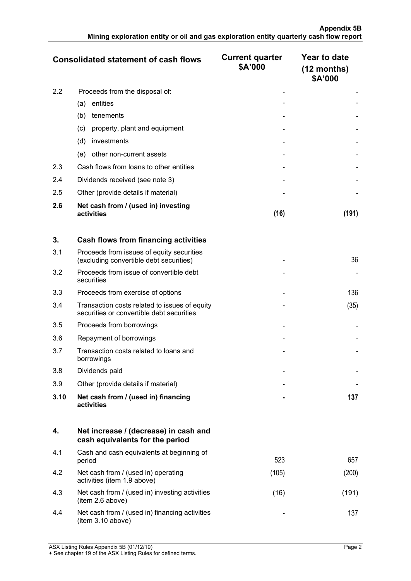|     | <b>Consolidated statement of cash flows</b>       | <b>Current quarter</b><br>\$A'000 | Year to date<br>$(12$ months)<br>\$A'000 |
|-----|---------------------------------------------------|-----------------------------------|------------------------------------------|
| 2.2 | Proceeds from the disposal of:                    |                                   |                                          |
|     | entities<br>(a)                                   |                                   |                                          |
|     | (b)<br>tenements                                  |                                   |                                          |
|     | property, plant and equipment<br>(c)              |                                   |                                          |
|     | (d)<br>investments                                |                                   |                                          |
|     | other non-current assets<br>(e)                   |                                   |                                          |
| 2.3 | Cash flows from loans to other entities           |                                   |                                          |
| 2.4 | Dividends received (see note 3)                   |                                   |                                          |
| 2.5 | Other (provide details if material)               |                                   |                                          |
| 2.6 | Net cash from / (used in) investing<br>activities | (16)                              |                                          |

| 3.   | Cash flows from financing activities                                                       |   |      |
|------|--------------------------------------------------------------------------------------------|---|------|
| 3.1  | Proceeds from issues of equity securities<br>(excluding convertible debt securities)       |   | 36   |
| 3.2  | Proceeds from issue of convertible debt<br>securities                                      |   |      |
| 3.3  | Proceeds from exercise of options                                                          |   | 136  |
| 3.4  | Transaction costs related to issues of equity<br>securities or convertible debt securities |   | (35) |
| 3.5  | Proceeds from borrowings                                                                   |   |      |
| 3.6  | Repayment of borrowings                                                                    |   |      |
| 3.7  | Transaction costs related to loans and<br>borrowings                                       |   |      |
| 3.8  | Dividends paid                                                                             |   |      |
| 3.9  | Other (provide details if material)                                                        |   |      |
| 3.10 | Net cash from / (used in) financing<br>activities                                          | ۰ | 137  |

|     | Net increase / (decrease) in cash and<br>cash equivalents for the period |       |     |
|-----|--------------------------------------------------------------------------|-------|-----|
| 4.1 | Cash and cash equivalents at beginning of<br>period                      | 523   | 657 |
| 4.2 | Net cash from / (used in) operating<br>activities (item 1.9 above)       | (105) |     |
| 4.3 | Net cash from / (used in) investing activities<br>(item 2.6 above)       | 161   | 191 |
|     | Net cash from / (used in) financing activities<br>(item 3.10 above)      |       |     |

ASX Listing Rules Appendix 5B (01/12/19) Page 2

+ See chapter 19 of the ASX Listing Rules for defined terms.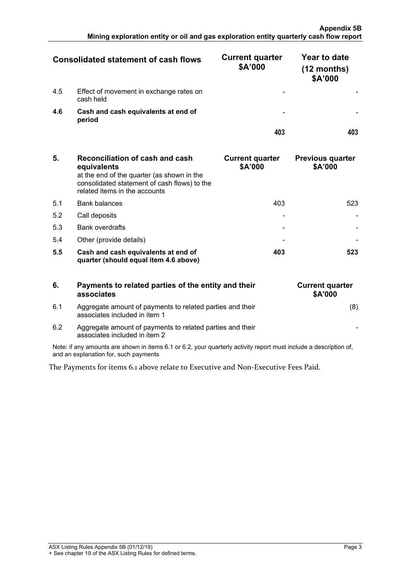| <b>Consolidated statement of cash flows</b> |                                                      | <b>Current quarter</b><br>\$A'000 | Year to date<br>(12 months)<br>\$A'000 |
|---------------------------------------------|------------------------------------------------------|-----------------------------------|----------------------------------------|
| 4.5                                         | Effect of movement in exchange rates on<br>cash held |                                   |                                        |
| 4.6                                         | Cash and cash equivalents at end of<br>period        |                                   |                                        |
|                                             |                                                      |                                   |                                        |

| 5.  | Reconciliation of cash and cash<br>equivalents<br>at the end of the quarter (as shown in the<br>consolidated statement of cash flows) to the<br>related items in the accounts | <b>Current quarter</b><br>\$A'000 | <b>Previous quarter</b><br>\$A'000 |
|-----|-------------------------------------------------------------------------------------------------------------------------------------------------------------------------------|-----------------------------------|------------------------------------|
| 51  | <b>Bank balances</b>                                                                                                                                                          | 403                               | 523                                |
| 5.2 | Call deposits                                                                                                                                                                 |                                   |                                    |
| 5.3 | <b>Bank overdrafts</b>                                                                                                                                                        |                                   |                                    |
| 5.4 | Other (provide details)                                                                                                                                                       |                                   |                                    |
| 5.5 | Cash and cash equivalents at end of<br>quarter (should equal item 4.6 above)                                                                                                  | 403                               |                                    |

| 6.  | Payments to related parties of the entity and their<br>associates                          | <b>Current quarter</b><br><b>\$A'000</b> |
|-----|--------------------------------------------------------------------------------------------|------------------------------------------|
| 6.1 | Aggregate amount of payments to related parties and their<br>associates included in item 1 | (8)                                      |
| 6.2 | Aggregate amount of payments to related parties and their<br>associates included in item 2 |                                          |

Note: if any amounts are shown in items 6.1 or 6.2, your quarterly activity report must include a description of, and an explanation for, such payments

The Payments for items 6.1 above relate to Executive and Non-Executive Fees Paid.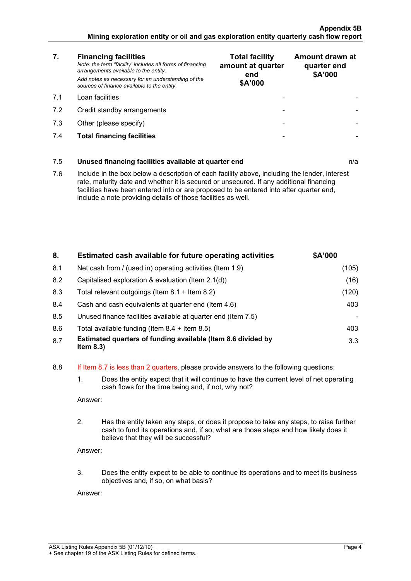- **7. Financing facilities** *Note: the term "facility' includes all forms of financing arrangements available to the entity. Add notes as necessary for an understanding of the sources of finance available to the entity.*
- 
- 7.2 Credit standby arrangements
- 7.3 Other (please specify)
- 7.4 **Total financing facilities - -**

| 7.  | <b>Financing facilities</b><br>Note: the term "facility' includes all forms of financing<br>arrangements available to the entity.<br>Add notes as necessary for an understanding of the<br>sources of finance available to the entity. | <b>Total facility</b><br>amount at quarter<br>end<br>\$A'000 | Amount drawn at<br>quarter end<br>\$A'000 |
|-----|----------------------------------------------------------------------------------------------------------------------------------------------------------------------------------------------------------------------------------------|--------------------------------------------------------------|-------------------------------------------|
| 71  | Loan facilities                                                                                                                                                                                                                        |                                                              |                                           |
| 7.2 | Credit standby arrangements                                                                                                                                                                                                            |                                                              |                                           |
| 7.3 | Other (please specify)                                                                                                                                                                                                                 |                                                              |                                           |
| 7.4 | <b>Total financing facilities</b>                                                                                                                                                                                                      |                                                              |                                           |

## 7.5 **Unused financing facilities available at quarter end** n/a 7.6 Include in the box below a description of each facility above, including the lender, interest rate, maturity date and whether it is secured or unsecured. If any additional financing facilities have been entered into or are proposed to be entered into after quarter end, include a note providing details of those facilities as well.

| 8.  | Estimated cash available for future operating activities                     | \$A'000 |
|-----|------------------------------------------------------------------------------|---------|
| 8.1 | Net cash from / (used in) operating activities (Item 1.9)                    | (105)   |
| 8.2 | Capitalised exploration & evaluation (Item 2.1(d))                           | (16)    |
| 8.3 | Total relevant outgoings (Item $8.1 +$ Item $8.2$ )                          | (120)   |
| 8.4 | Cash and cash equivalents at quarter end (Item 4.6)                          | 403     |
| 8.5 | Unused finance facilities available at quarter end (Item 7.5)                |         |
| 8.6 | Total available funding (Item $8.4 +$ Item $8.5$ )                           | 403     |
| 8.7 | Estimated quarters of funding available (Item 8.6 divided by<br>Item $8.3$ ) | 3.3     |

#### 8.8 If Item 8.7 is less than 2 quarters, please provide answers to the following questions:

1. Does the entity expect that it will continue to have the current level of net operating cash flows for the time being and, if not, why not?

Answer:

2. Has the entity taken any steps, or does it propose to take any steps, to raise further cash to fund its operations and, if so, what are those steps and how likely does it believe that they will be successful?

Answer:

3. Does the entity expect to be able to continue its operations and to meet its business objectives and, if so, on what basis?

Answer: